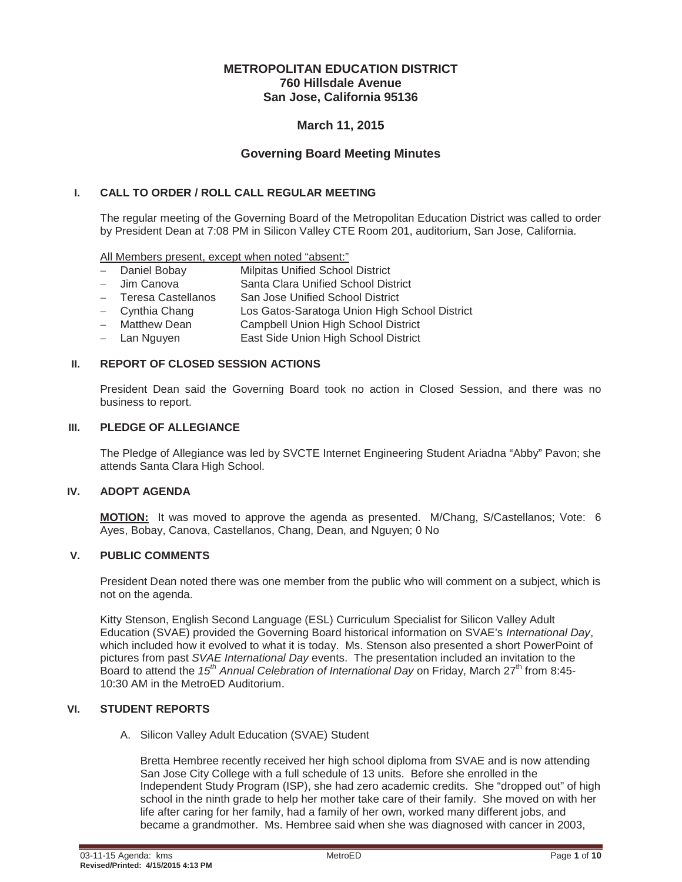# **METROPOLITAN EDUCATION DISTRICT 760 Hillsdale Avenue San Jose, California 95136**

# **March 11, 2015**

# **Governing Board Meeting Minutes**

# **I. CALL TO ORDER / ROLL CALL REGULAR MEETING**

The regular meeting of the Governing Board of the Metropolitan Education District was called to order by President Dean at 7:08 PM in Silicon Valley CTE Room 201, auditorium, San Jose, California.

All Members present, except when noted "absent:"

- Daniel Bobay Milpitas Unified School District
- Jim Canova Santa Clara Unified School District
- Teresa Castellanos San Jose Unified School District
- Cynthia Chang Los Gatos-Saratoga Union High School District
- Matthew Dean Campbell Union High School District
- Lan Nguyen **East Side Union High School District**

#### **II. REPORT OF CLOSED SESSION ACTIONS**

President Dean said the Governing Board took no action in Closed Session, and there was no business to report.

#### **III. PLEDGE OF ALLEGIANCE**

The Pledge of Allegiance was led by SVCTE Internet Engineering Student Ariadna "Abby" Pavon; she attends Santa Clara High School.

#### **IV. ADOPT AGENDA**

**MOTION:** It was moved to approve the agenda as presented. M/Chang, S/Castellanos; Vote: 6 Ayes, Bobay, Canova, Castellanos, Chang, Dean, and Nguyen; 0 No

#### **V. PUBLIC COMMENTS**

President Dean noted there was one member from the public who will comment on a subject, which is not on the agenda.

Kitty Stenson, English Second Language (ESL) Curriculum Specialist for Silicon Valley Adult Education (SVAE) provided the Governing Board historical information on SVAE's *International Day*, which included how it evolved to what it is today. Ms. Stenson also presented a short PowerPoint of pictures from past *SVAE International Day* events. The presentation included an invitation to the Board to attend the *15th Annual Celebration of International Day* on Friday, March 27th from 8:45- 10:30 AM in the MetroED Auditorium.

#### **VI. STUDENT REPORTS**

A. Silicon Valley Adult Education (SVAE) Student

Bretta Hembree recently received her high school diploma from SVAE and is now attending San Jose City College with a full schedule of 13 units. Before she enrolled in the Independent Study Program (ISP), she had zero academic credits. She "dropped out" of high school in the ninth grade to help her mother take care of their family. She moved on with her life after caring for her family, had a family of her own, worked many different jobs, and became a grandmother. Ms. Hembree said when she was diagnosed with cancer in 2003,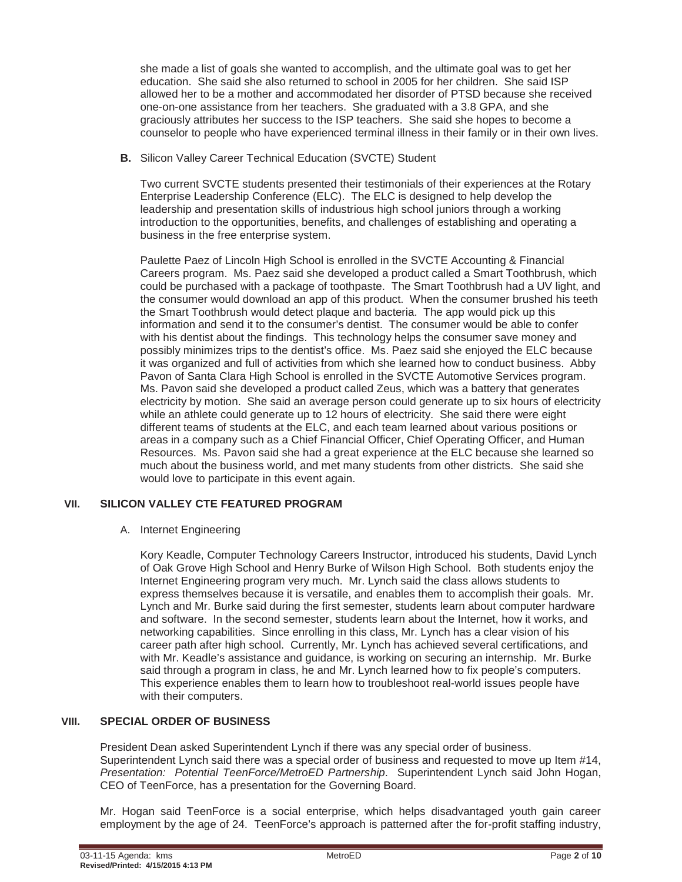she made a list of goals she wanted to accomplish, and the ultimate goal was to get her education. She said she also returned to school in 2005 for her children. She said ISP allowed her to be a mother and accommodated her disorder of PTSD because she received one-on-one assistance from her teachers. She graduated with a 3.8 GPA, and she graciously attributes her success to the ISP teachers. She said she hopes to become a counselor to people who have experienced terminal illness in their family or in their own lives.

**B.** Silicon Valley Career Technical Education (SVCTE) Student

Two current SVCTE students presented their testimonials of their experiences at the Rotary Enterprise Leadership Conference (ELC). The ELC is designed to help develop the leadership and presentation skills of industrious high school juniors through a working introduction to the opportunities, benefits, and challenges of establishing and operating a business in the free enterprise system.

Paulette Paez of Lincoln High School is enrolled in the SVCTE Accounting & Financial Careers program. Ms. Paez said she developed a product called a Smart Toothbrush, which could be purchased with a package of toothpaste. The Smart Toothbrush had a UV light, and the consumer would download an app of this product. When the consumer brushed his teeth the Smart Toothbrush would detect plaque and bacteria. The app would pick up this information and send it to the consumer's dentist. The consumer would be able to confer with his dentist about the findings. This technology helps the consumer save money and possibly minimizes trips to the dentist's office. Ms. Paez said she enjoyed the ELC because it was organized and full of activities from which she learned how to conduct business. Abby Pavon of Santa Clara High School is enrolled in the SVCTE Automotive Services program. Ms. Pavon said she developed a product called Zeus, which was a battery that generates electricity by motion. She said an average person could generate up to six hours of electricity while an athlete could generate up to 12 hours of electricity. She said there were eight different teams of students at the ELC, and each team learned about various positions or areas in a company such as a Chief Financial Officer, Chief Operating Officer, and Human Resources. Ms. Pavon said she had a great experience at the ELC because she learned so much about the business world, and met many students from other districts. She said she would love to participate in this event again.

# **VII. SILICON VALLEY CTE FEATURED PROGRAM**

A. Internet Engineering

Kory Keadle, Computer Technology Careers Instructor, introduced his students, David Lynch of Oak Grove High School and Henry Burke of Wilson High School. Both students enjoy the Internet Engineering program very much. Mr. Lynch said the class allows students to express themselves because it is versatile, and enables them to accomplish their goals. Mr. Lynch and Mr. Burke said during the first semester, students learn about computer hardware and software. In the second semester, students learn about the Internet, how it works, and networking capabilities. Since enrolling in this class, Mr. Lynch has a clear vision of his career path after high school. Currently, Mr. Lynch has achieved several certifications, and with Mr. Keadle's assistance and guidance, is working on securing an internship. Mr. Burke said through a program in class, he and Mr. Lynch learned how to fix people's computers. This experience enables them to learn how to troubleshoot real-world issues people have with their computers.

# **VIII. SPECIAL ORDER OF BUSINESS**

President Dean asked Superintendent Lynch if there was any special order of business. Superintendent Lynch said there was a special order of business and requested to move up Item #14, *Presentation: Potential TeenForce/MetroED Partnership*. Superintendent Lynch said John Hogan, CEO of TeenForce, has a presentation for the Governing Board.

Mr. Hogan said TeenForce is a social enterprise, which helps disadvantaged youth gain career employment by the age of 24. TeenForce's approach is patterned after the for-profit staffing industry,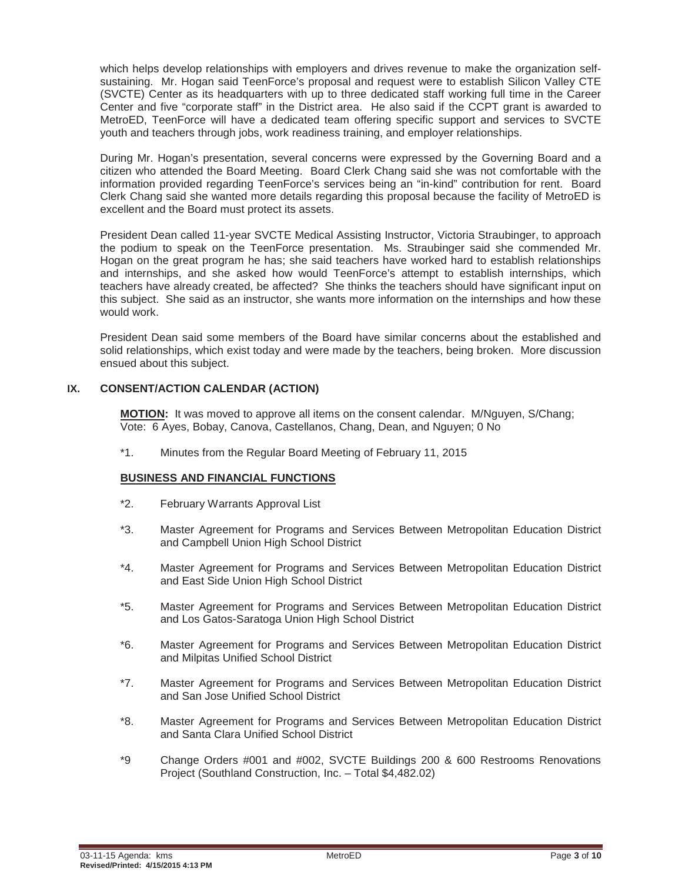which helps develop relationships with employers and drives revenue to make the organization selfsustaining. Mr. Hogan said TeenForce's proposal and request were to establish Silicon Valley CTE (SVCTE) Center as its headquarters with up to three dedicated staff working full time in the Career Center and five "corporate staff" in the District area. He also said if the CCPT grant is awarded to MetroED, TeenForce will have a dedicated team offering specific support and services to SVCTE youth and teachers through jobs, work readiness training, and employer relationships.

During Mr. Hogan's presentation, several concerns were expressed by the Governing Board and a citizen who attended the Board Meeting. Board Clerk Chang said she was not comfortable with the information provided regarding TeenForce's services being an "in-kind" contribution for rent. Board Clerk Chang said she wanted more details regarding this proposal because the facility of MetroED is excellent and the Board must protect its assets.

President Dean called 11-year SVCTE Medical Assisting Instructor, Victoria Straubinger, to approach the podium to speak on the TeenForce presentation. Ms. Straubinger said she commended Mr. Hogan on the great program he has; she said teachers have worked hard to establish relationships and internships, and she asked how would TeenForce's attempt to establish internships, which teachers have already created, be affected? She thinks the teachers should have significant input on this subject. She said as an instructor, she wants more information on the internships and how these would work.

President Dean said some members of the Board have similar concerns about the established and solid relationships, which exist today and were made by the teachers, being broken. More discussion ensued about this subject.

# **IX. CONSENT/ACTION CALENDAR (ACTION)**

**MOTION:** It was moved to approve all items on the consent calendar. M/Nguyen, S/Chang; Vote: 6 Ayes, Bobay, Canova, Castellanos, Chang, Dean, and Nguyen; 0 No

\*1. Minutes from the Regular Board Meeting of February 11, 2015

#### **BUSINESS AND FINANCIAL FUNCTIONS**

- \*2. February Warrants Approval List
- \*3. Master Agreement for Programs and Services Between Metropolitan Education District and Campbell Union High School District
- \*4. Master Agreement for Programs and Services Between Metropolitan Education District and East Side Union High School District
- \*5. Master Agreement for Programs and Services Between Metropolitan Education District and Los Gatos-Saratoga Union High School District
- \*6. Master Agreement for Programs and Services Between Metropolitan Education District and Milpitas Unified School District
- \*7. Master Agreement for Programs and Services Between Metropolitan Education District and San Jose Unified School District
- \*8. Master Agreement for Programs and Services Between Metropolitan Education District and Santa Clara Unified School District
- \*9 Change Orders #001 and #002, SVCTE Buildings 200 & 600 Restrooms Renovations Project (Southland Construction, Inc. – Total \$4,482.02)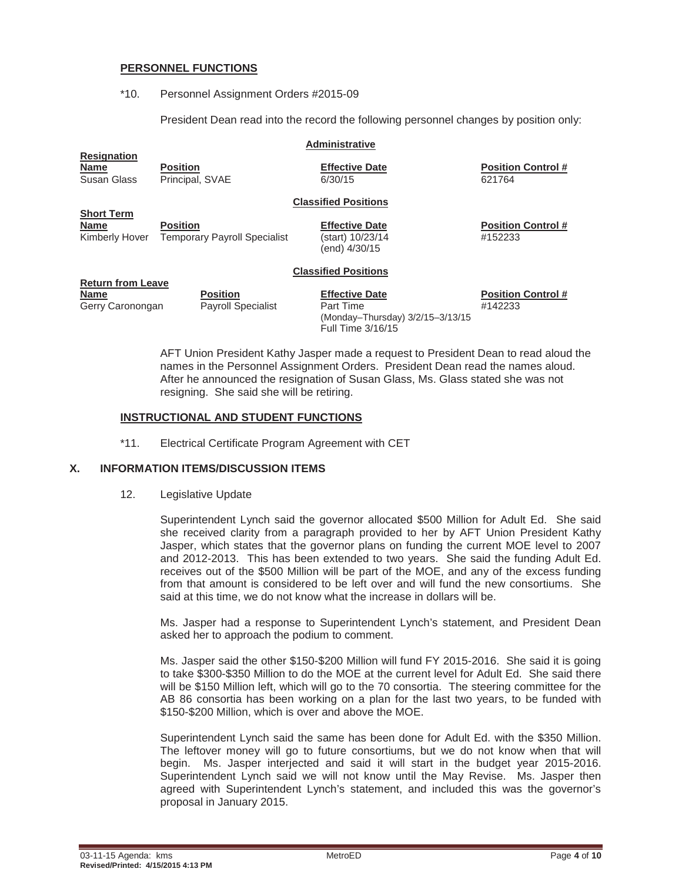#### **PERSONNEL FUNCTIONS**

#### \*10. Personnel Assignment Orders #2015-09

President Dean read into the record the following personnel changes by position only:

#### **Administrative**

Susan Glass Principal, SVAE 6/30/15 621764

**Name Position Control # Position Control # Effective Date Position Control** #

#### **Classified Positions**

**Short Term Name Position Prosesses Providence Position Effective Date Position Control #** Kimberly Hover Temporary Payroll Specialist (start) 10/23/14 #152233

(end) 4/30/15

#### **Classified Positions**

# **Return from Leave**

**Resignation**

**Name Position Effective Date Position Control #** Gerry Caronongan Payroll Specialist Part Time **Find Accord Payroll Specialist** Part Time (Monday–Thursday) 3/2/15–3/13/15 Full Time 3/16/15

AFT Union President Kathy Jasper made a request to President Dean to read aloud the names in the Personnel Assignment Orders. President Dean read the names aloud. After he announced the resignation of Susan Glass, Ms. Glass stated she was not resigning. She said she will be retiring.

# **INSTRUCTIONAL AND STUDENT FUNCTIONS**

\*11. Electrical Certificate Program Agreement with CET

# **X. INFORMATION ITEMS/DISCUSSION ITEMS**

#### 12. Legislative Update

Superintendent Lynch said the governor allocated \$500 Million for Adult Ed. She said she received clarity from a paragraph provided to her by AFT Union President Kathy Jasper, which states that the governor plans on funding the current MOE level to 2007 and 2012-2013. This has been extended to two years. She said the funding Adult Ed. receives out of the \$500 Million will be part of the MOE, and any of the excess funding from that amount is considered to be left over and will fund the new consortiums. She said at this time, we do not know what the increase in dollars will be.

Ms. Jasper had a response to Superintendent Lynch's statement, and President Dean asked her to approach the podium to comment.

Ms. Jasper said the other \$150-\$200 Million will fund FY 2015-2016. She said it is going to take \$300-\$350 Million to do the MOE at the current level for Adult Ed. She said there will be \$150 Million left, which will go to the 70 consortia. The steering committee for the AB 86 consortia has been working on a plan for the last two years, to be funded with \$150-\$200 Million, which is over and above the MOE.

Superintendent Lynch said the same has been done for Adult Ed. with the \$350 Million. The leftover money will go to future consortiums, but we do not know when that will begin. Ms. Jasper interjected and said it will start in the budget year 2015-2016. Superintendent Lynch said we will not know until the May Revise. Ms. Jasper then agreed with Superintendent Lynch's statement, and included this was the governor's proposal in January 2015.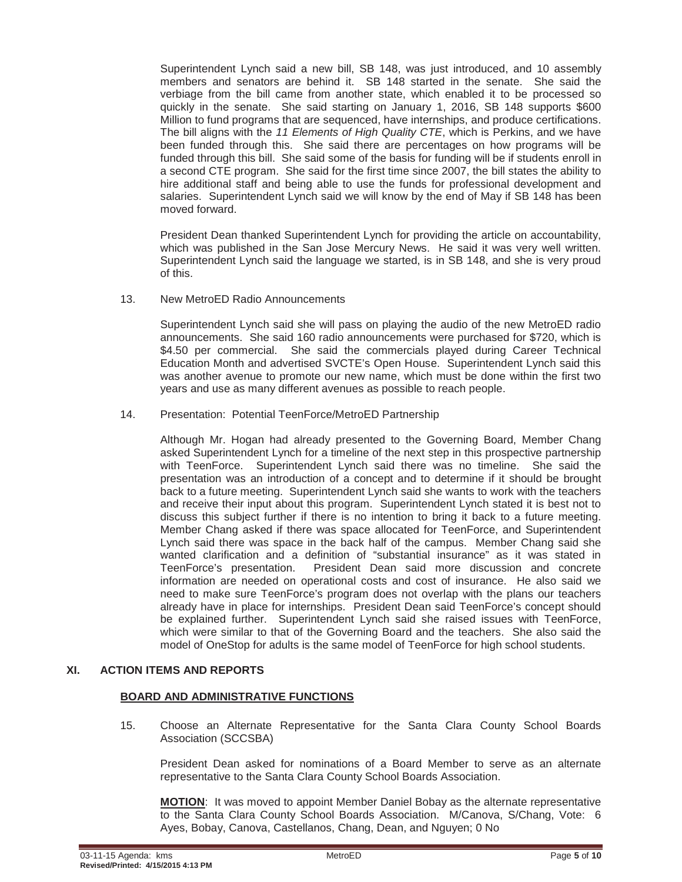Superintendent Lynch said a new bill, SB 148, was just introduced, and 10 assembly members and senators are behind it. SB 148 started in the senate. She said the verbiage from the bill came from another state, which enabled it to be processed so quickly in the senate. She said starting on January 1, 2016, SB 148 supports \$600 Million to fund programs that are sequenced, have internships, and produce certifications. The bill aligns with the *11 Elements of High Quality CTE*, which is Perkins, and we have been funded through this. She said there are percentages on how programs will be funded through this bill. She said some of the basis for funding will be if students enroll in a second CTE program. She said for the first time since 2007, the bill states the ability to hire additional staff and being able to use the funds for professional development and salaries. Superintendent Lynch said we will know by the end of May if SB 148 has been moved forward.

President Dean thanked Superintendent Lynch for providing the article on accountability, which was published in the San Jose Mercury News. He said it was very well written. Superintendent Lynch said the language we started, is in SB 148, and she is very proud of this.

13. New MetroED Radio Announcements

Superintendent Lynch said she will pass on playing the audio of the new MetroED radio announcements. She said 160 radio announcements were purchased for \$720, which is \$4.50 per commercial. She said the commercials played during Career Technical Education Month and advertised SVCTE's Open House. Superintendent Lynch said this was another avenue to promote our new name, which must be done within the first two years and use as many different avenues as possible to reach people.

14. Presentation: Potential TeenForce/MetroED Partnership

Although Mr. Hogan had already presented to the Governing Board, Member Chang asked Superintendent Lynch for a timeline of the next step in this prospective partnership with TeenForce. Superintendent Lynch said there was no timeline. She said the presentation was an introduction of a concept and to determine if it should be brought back to a future meeting. Superintendent Lynch said she wants to work with the teachers and receive their input about this program. Superintendent Lynch stated it is best not to discuss this subject further if there is no intention to bring it back to a future meeting. Member Chang asked if there was space allocated for TeenForce, and Superintendent Lynch said there was space in the back half of the campus. Member Chang said she wanted clarification and a definition of "substantial insurance" as it was stated in TeenForce's presentation. President Dean said more discussion and concrete information are needed on operational costs and cost of insurance. He also said we need to make sure TeenForce's program does not overlap with the plans our teachers already have in place for internships. President Dean said TeenForce's concept should be explained further. Superintendent Lynch said she raised issues with TeenForce, which were similar to that of the Governing Board and the teachers. She also said the model of OneStop for adults is the same model of TeenForce for high school students.

# **XI. ACTION ITEMS AND REPORTS**

# **BOARD AND ADMINISTRATIVE FUNCTIONS**

15. Choose an Alternate Representative for the Santa Clara County School Boards Association (SCCSBA)

President Dean asked for nominations of a Board Member to serve as an alternate representative to the Santa Clara County School Boards Association.

**MOTION**: It was moved to appoint Member Daniel Bobay as the alternate representative to the Santa Clara County School Boards Association. M/Canova, S/Chang, Vote: 6 Ayes, Bobay, Canova, Castellanos, Chang, Dean, and Nguyen; 0 No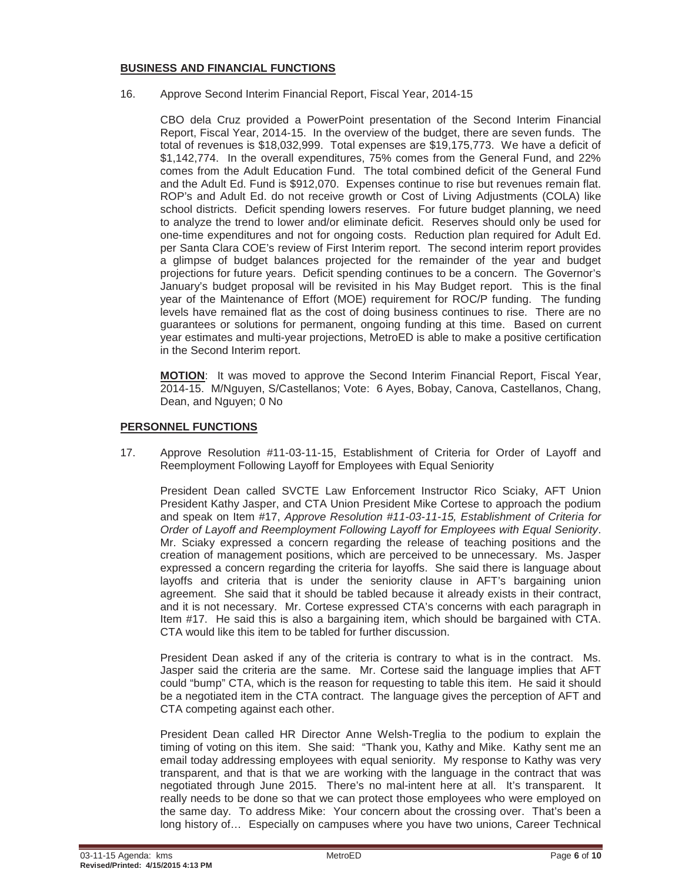# **BUSINESS AND FINANCIAL FUNCTIONS**

16. Approve Second Interim Financial Report, Fiscal Year, 2014-15

CBO dela Cruz provided a PowerPoint presentation of the Second Interim Financial Report, Fiscal Year, 2014-15. In the overview of the budget, there are seven funds. The total of revenues is \$18,032,999. Total expenses are \$19,175,773. We have a deficit of \$1,142,774. In the overall expenditures, 75% comes from the General Fund, and 22% comes from the Adult Education Fund. The total combined deficit of the General Fund and the Adult Ed. Fund is \$912,070. Expenses continue to rise but revenues remain flat. ROP's and Adult Ed. do not receive growth or Cost of Living Adjustments (COLA) like school districts. Deficit spending lowers reserves. For future budget planning, we need to analyze the trend to lower and/or eliminate deficit. Reserves should only be used for one-time expenditures and not for ongoing costs. Reduction plan required for Adult Ed. per Santa Clara COE's review of First Interim report. The second interim report provides a glimpse of budget balances projected for the remainder of the year and budget projections for future years. Deficit spending continues to be a concern. The Governor's January's budget proposal will be revisited in his May Budget report. This is the final year of the Maintenance of Effort (MOE) requirement for ROC/P funding. The funding levels have remained flat as the cost of doing business continues to rise. There are no guarantees or solutions for permanent, ongoing funding at this time. Based on current year estimates and multi-year projections, MetroED is able to make a positive certification in the Second Interim report.

**MOTION**: It was moved to approve the Second Interim Financial Report, Fiscal Year, 2014-15. M/Nguyen, S/Castellanos; Vote: 6 Ayes, Bobay, Canova, Castellanos, Chang, Dean, and Nguyen; 0 No

# **PERSONNEL FUNCTIONS**

17. Approve Resolution #11-03-11-15, Establishment of Criteria for Order of Layoff and Reemployment Following Layoff for Employees with Equal Seniority

President Dean called SVCTE Law Enforcement Instructor Rico Sciaky, AFT Union President Kathy Jasper, and CTA Union President Mike Cortese to approach the podium and speak on Item #17, *Approve Resolution #11-03-11-15, Establishment of Criteria for Order of Layoff and Reemployment Following Layoff for Employees with Equal Seniority*. Mr. Sciaky expressed a concern regarding the release of teaching positions and the creation of management positions, which are perceived to be unnecessary. Ms. Jasper expressed a concern regarding the criteria for layoffs. She said there is language about layoffs and criteria that is under the seniority clause in AFT's bargaining union agreement. She said that it should be tabled because it already exists in their contract, and it is not necessary. Mr. Cortese expressed CTA's concerns with each paragraph in Item #17. He said this is also a bargaining item, which should be bargained with CTA. CTA would like this item to be tabled for further discussion.

President Dean asked if any of the criteria is contrary to what is in the contract. Ms. Jasper said the criteria are the same. Mr. Cortese said the language implies that AFT could "bump" CTA, which is the reason for requesting to table this item. He said it should be a negotiated item in the CTA contract. The language gives the perception of AFT and CTA competing against each other.

President Dean called HR Director Anne Welsh-Treglia to the podium to explain the timing of voting on this item. She said: "Thank you, Kathy and Mike. Kathy sent me an email today addressing employees with equal seniority. My response to Kathy was very transparent, and that is that we are working with the language in the contract that was negotiated through June 2015. There's no mal-intent here at all. It's transparent. It really needs to be done so that we can protect those employees who were employed on the same day. To address Mike: Your concern about the crossing over. That's been a long history of… Especially on campuses where you have two unions, Career Technical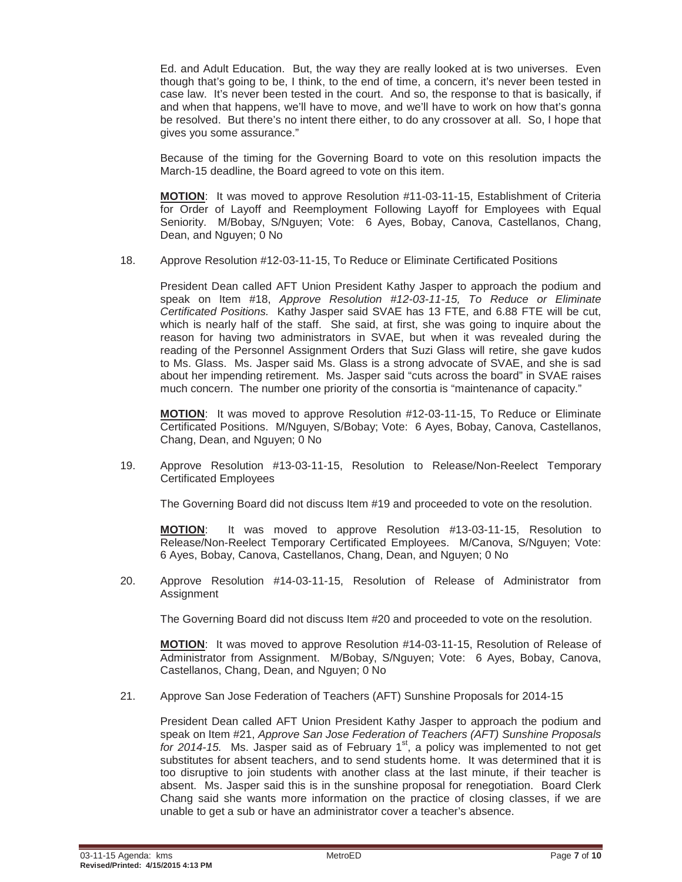Ed. and Adult Education. But, the way they are really looked at is two universes. Even though that's going to be, I think, to the end of time, a concern, it's never been tested in case law. It's never been tested in the court. And so, the response to that is basically, if and when that happens, we'll have to move, and we'll have to work on how that's gonna be resolved. But there's no intent there either, to do any crossover at all. So, I hope that gives you some assurance."

Because of the timing for the Governing Board to vote on this resolution impacts the March-15 deadline, the Board agreed to vote on this item.

**MOTION**: It was moved to approve Resolution #11-03-11-15, Establishment of Criteria for Order of Layoff and Reemployment Following Layoff for Employees with Equal Seniority. M/Bobay, S/Nguyen; Vote: 6 Ayes, Bobay, Canova, Castellanos, Chang, Dean, and Nguyen; 0 No

18. Approve Resolution #12-03-11-15, To Reduce or Eliminate Certificated Positions

President Dean called AFT Union President Kathy Jasper to approach the podium and speak on Item #18, *Approve Resolution #12-03-11-15, To Reduce or Eliminate Certificated Positions.* Kathy Jasper said SVAE has 13 FTE, and 6.88 FTE will be cut, which is nearly half of the staff. She said, at first, she was going to inquire about the reason for having two administrators in SVAE, but when it was revealed during the reading of the Personnel Assignment Orders that Suzi Glass will retire, she gave kudos to Ms. Glass. Ms. Jasper said Ms. Glass is a strong advocate of SVAE, and she is sad about her impending retirement. Ms. Jasper said "cuts across the board" in SVAE raises much concern. The number one priority of the consortia is "maintenance of capacity."

**MOTION**: It was moved to approve Resolution #12-03-11-15, To Reduce or Eliminate Certificated Positions. M/Nguyen, S/Bobay; Vote: 6 Ayes, Bobay, Canova, Castellanos, Chang, Dean, and Nguyen; 0 No

19. Approve Resolution #13-03-11-15, Resolution to Release/Non-Reelect Temporary Certificated Employees

The Governing Board did not discuss Item #19 and proceeded to vote on the resolution.

**MOTION**: It was moved to approve Resolution #13-03-11-15, Resolution to Release/Non-Reelect Temporary Certificated Employees. M/Canova, S/Nguyen; Vote: 6 Ayes, Bobay, Canova, Castellanos, Chang, Dean, and Nguyen; 0 No

20. Approve Resolution #14-03-11-15, Resolution of Release of Administrator from **Assignment** 

The Governing Board did not discuss Item #20 and proceeded to vote on the resolution.

**MOTION**: It was moved to approve Resolution #14-03-11-15, Resolution of Release of Administrator from Assignment. M/Bobay, S/Nguyen; Vote: 6 Ayes, Bobay, Canova, Castellanos, Chang, Dean, and Nguyen; 0 No

21. Approve San Jose Federation of Teachers (AFT) Sunshine Proposals for 2014-15

President Dean called AFT Union President Kathy Jasper to approach the podium and speak on Item #21, *Approve San Jose Federation of Teachers (AFT) Sunshine Proposals for 2014-15.* Ms. Jasper said as of February 1<sup>st</sup>, a policy was implemented to not get substitutes for absent teachers, and to send students home. It was determined that it is too disruptive to join students with another class at the last minute, if their teacher is absent. Ms. Jasper said this is in the sunshine proposal for renegotiation. Board Clerk Chang said she wants more information on the practice of closing classes, if we are unable to get a sub or have an administrator cover a teacher's absence.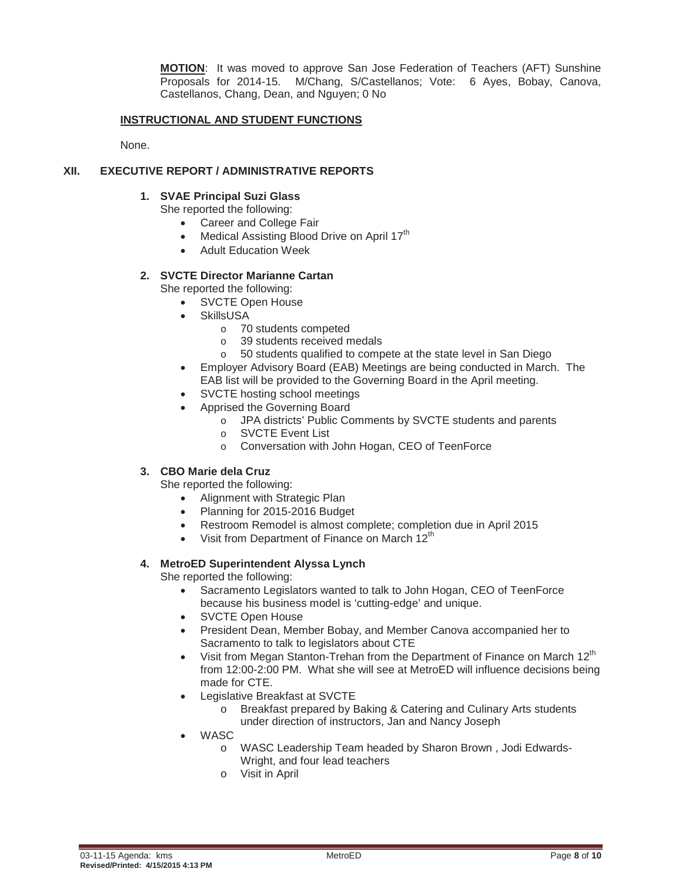**MOTION**: It was moved to approve San Jose Federation of Teachers (AFT) Sunshine Proposals for 2014-15. M/Chang, S/Castellanos; Vote: 6 Ayes, Bobay, Canova, Castellanos, Chang, Dean, and Nguyen; 0 No

# **INSTRUCTIONAL AND STUDENT FUNCTIONS**

None.

#### **XII. EXECUTIVE REPORT / ADMINISTRATIVE REPORTS**

#### **1. SVAE Principal Suzi Glass**

She reported the following:

- Career and College Fair
- Medical Assisting Blood Drive on April 17<sup>th</sup>
- **Adult Education Week**

# **2. SVCTE Director Marianne Cartan**

She reported the following:

- SVCTE Open House
- **SkillsUSA** 
	- o 70 students competed
	- o 39 students received medals
	- o 50 students qualified to compete at the state level in San Diego
- Employer Advisory Board (EAB) Meetings are being conducted in March. The EAB list will be provided to the Governing Board in the April meeting.
- x SVCTE hosting school meetings
- Apprised the Governing Board
	- o JPA districts' Public Comments by SVCTE students and parents
	- o SVCTE Event List
	- o Conversation with John Hogan, CEO of TeenForce

# **3. CBO Marie dela Cruz**

She reported the following:

- Alignment with Strategic Plan
- Planning for 2015-2016 Budget
- Restroom Remodel is almost complete; completion due in April 2015
- Visit from Department of Finance on March 12<sup>th</sup>

# **4. MetroED Superintendent Alyssa Lynch**

She reported the following:

- Sacramento Legislators wanted to talk to John Hogan, CEO of TeenForce because his business model is 'cutting-edge' and unique.
- SVCTE Open House
- President Dean, Member Bobay, and Member Canova accompanied her to Sacramento to talk to legislators about CTE
- Visit from Megan Stanton-Trehan from the Department of Finance on March 12<sup>th</sup> from 12:00-2:00 PM. What she will see at MetroED will influence decisions being made for CTE.
- Legislative Breakfast at SVCTE
	- o Breakfast prepared by Baking & Catering and Culinary Arts students under direction of instructors, Jan and Nancy Joseph
- **WASC** 
	- o WASC Leadership Team headed by Sharon Brown , Jodi Edwards-Wright, and four lead teachers
	- o Visit in April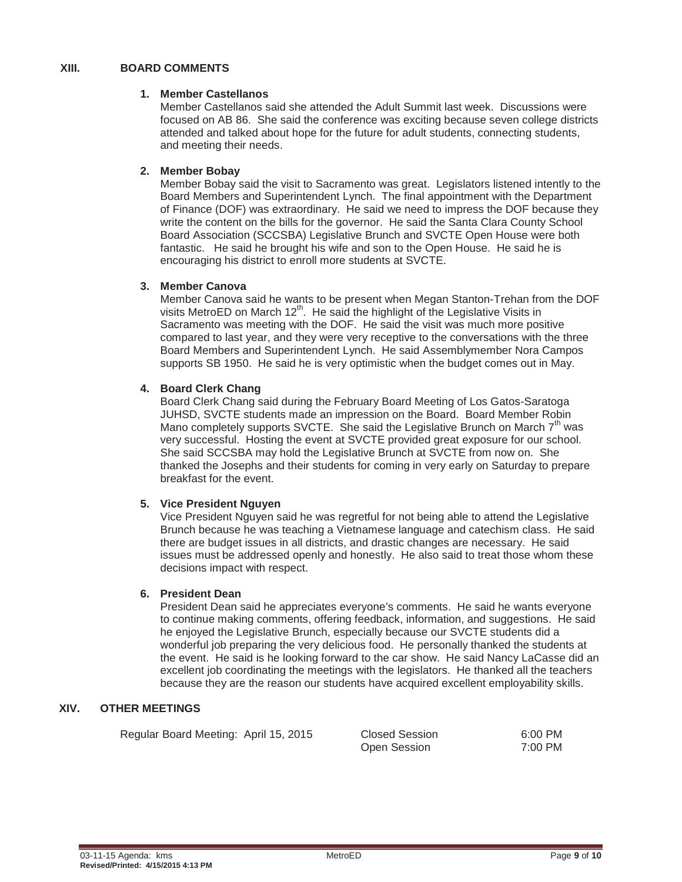# **XIII. BOARD COMMENTS**

#### **1. Member Castellanos**

Member Castellanos said she attended the Adult Summit last week. Discussions were focused on AB 86. She said the conference was exciting because seven college districts attended and talked about hope for the future for adult students, connecting students, and meeting their needs.

# **2. Member Bobay**

Member Bobay said the visit to Sacramento was great. Legislators listened intently to the Board Members and Superintendent Lynch. The final appointment with the Department of Finance (DOF) was extraordinary. He said we need to impress the DOF because they write the content on the bills for the governor. He said the Santa Clara County School Board Association (SCCSBA) Legislative Brunch and SVCTE Open House were both fantastic. He said he brought his wife and son to the Open House. He said he is encouraging his district to enroll more students at SVCTE.

# **3. Member Canova**

Member Canova said he wants to be present when Megan Stanton-Trehan from the DOF visits MetroED on March 12<sup>th</sup>. He said the highlight of the Legislative Visits in Sacramento was meeting with the DOF. He said the visit was much more positive compared to last year, and they were very receptive to the conversations with the three Board Members and Superintendent Lynch. He said Assemblymember Nora Campos supports SB 1950. He said he is very optimistic when the budget comes out in May.

# **4. Board Clerk Chang**

Board Clerk Chang said during the February Board Meeting of Los Gatos-Saratoga JUHSD, SVCTE students made an impression on the Board. Board Member Robin Mano completely supports SVCTE. She said the Legislative Brunch on March  $7<sup>th</sup>$  was very successful. Hosting the event at SVCTE provided great exposure for our school. She said SCCSBA may hold the Legislative Brunch at SVCTE from now on. She thanked the Josephs and their students for coming in very early on Saturday to prepare breakfast for the event.

# **5. Vice President Nguyen**

Vice President Nguyen said he was regretful for not being able to attend the Legislative Brunch because he was teaching a Vietnamese language and catechism class. He said there are budget issues in all districts, and drastic changes are necessary. He said issues must be addressed openly and honestly. He also said to treat those whom these decisions impact with respect.

# **6. President Dean**

President Dean said he appreciates everyone's comments. He said he wants everyone to continue making comments, offering feedback, information, and suggestions. He said he enjoyed the Legislative Brunch, especially because our SVCTE students did a wonderful job preparing the very delicious food. He personally thanked the students at the event. He said is he looking forward to the car show. He said Nancy LaCasse did an excellent job coordinating the meetings with the legislators. He thanked all the teachers because they are the reason our students have acquired excellent employability skills.

# **XIV. OTHER MEETINGS**

| Regular Board Meeting: April 15, 2015 | <b>Closed Session</b> | 6:00 PM |
|---------------------------------------|-----------------------|---------|
|                                       | Open Session          | 7:00 PM |